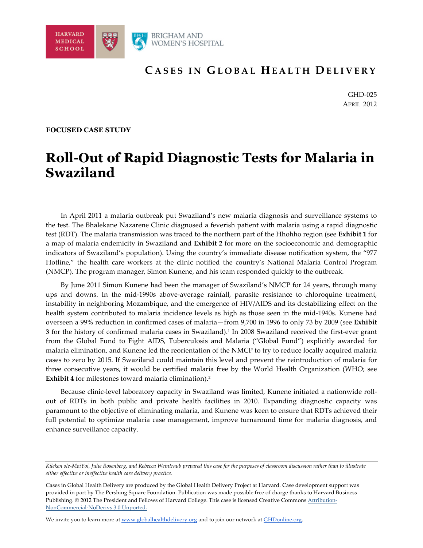

# **C ASES IN G LOBAL H EALTH D ELIVERY**

GHD-025 APRIL 2012

#### **FOCUSED CASE STUDY**

# **Roll-Out of Rapid Diagnostic Tests for Malaria in Swaziland**

In April 2011 a malaria outbreak put Swaziland's new malaria diagnosis and surveillance systems to the test. The Bhalekane Nazarene Clinic diagnosed a feverish patient with malaria using a rapid diagnostic test (RDT). The malaria transmission was traced to the northern part of the Hhohho region (see **Exhibit 1** for a map of malaria endemicity in Swaziland and **Exhibit 2** for more on the socioeconomic and demographic indicators of Swaziland's population). Using the country's immediate disease notification system, the "977 Hotline," the health care workers at the clinic notified the country's National Malaria Control Program (NMCP). The program manager, Simon Kunene, and his team responded quickly to the outbreak.

By June 2011 Simon Kunene had been the manager of Swaziland's NMCP for 24 years, through many ups and downs. In the mid-1990s above-average rainfall, parasite resistance to chloroquine treatment, instability in neighboring Mozambique, and the emergence of HIV/AIDS and its destabilizing effect on the health system contributed to malaria incidence levels as high as those seen in the mid-1940s. Kunene had overseen a 99% reduction in confirmed cases of malaria—from 9,700 in 1996 to only 73 by 2009 (see **Exhibit 3** for the history of confirmed malaria cases in Swaziland).1 In 2008 Swaziland received the first-ever grant from the Global Fund to Fight AIDS, Tuberculosis and Malaria ("Global Fund") explicitly awarded for malaria elimination, and Kunene led the reorientation of the NMCP to try to reduce locally acquired malaria cases to zero by 2015. If Swaziland could maintain this level and prevent the reintroduction of malaria for three consecutive years, it would be certified malaria free by the World Health Organization (WHO; see **Exhibit 4** for milestones toward malaria elimination).2

Because clinic-level laboratory capacity in Swaziland was limited, Kunene initiated a nationwide rollout of RDTs in both public and private health facilities in 2010. Expanding diagnostic capacity was paramount to the objective of eliminating malaria, and Kunene was keen to ensure that RDTs achieved their full potential to optimize malaria case management, improve turnaround time for malaria diagnosis, and enhance surveillance capacity.

We invite you to learn more at www.globalhealthdelivery.org and to join our network at GHDonline.org.

*Kileken ole-MoiYoi, Julie Rosenberg, and Rebecca Weintraub prepared this case for the purposes of classroom discussion rather than to illustrate either effective or ineffective health care delivery practice.* 

Cases in Global Health Delivery are produced by the Global Health Delivery Project at Harvard. Case development *s*upport was provided in part by The Pershing Square Foundation. Publication was made possible free of charge thanks to Harvard Business Publishing. © 2012 The President and Fellows of Harvard College. This case is licensed Creative Commons Attribution-NonCommercial-NoDerivs 3.0 Unported.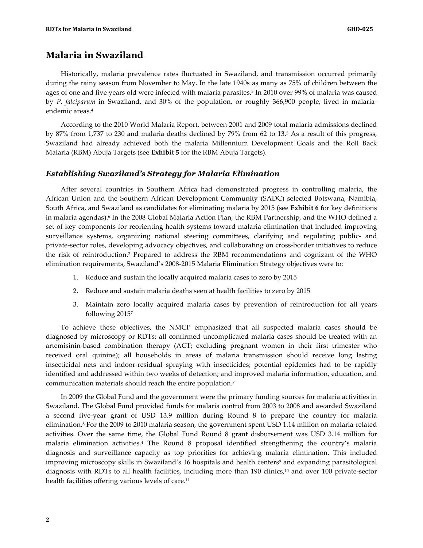#### **Malaria in Swaziland**

Historically, malaria prevalence rates fluctuated in Swaziland, and transmission occurred primarily during the rainy season from November to May. In the late 1940s as many as 75% of children between the ages of one and five years old were infected with malaria parasites.3 In 2010 over 99% of malaria was caused by *P. falciparum* in Swaziland, and 30% of the population, or roughly 366,900 people, lived in malariaendemic areas.<sup>4</sup>

According to the 2010 World Malaria Report, between 2001 and 2009 total malaria admissions declined by 87% from 1,737 to 230 and malaria deaths declined by 79% from 62 to 13.5 As a result of this progress, Swaziland had already achieved both the malaria Millennium Development Goals and the Roll Back Malaria (RBM) Abuja Targets (see **Exhibit 5** for the RBM Abuja Targets).

#### *Establishing Swaziland's Strategy for Malaria Elimination*

After several countries in Southern Africa had demonstrated progress in controlling malaria, the African Union and the Southern African Development Community (SADC) selected Botswana, Namibia, South Africa, and Swaziland as candidates for eliminating malaria by 2015 (see **Exhibit 6** for key definitions in malaria agendas).<sup>6</sup> In the 2008 Global Malaria Action Plan, the RBM Partnership, and the WHO defined a set of key components for reorienting health systems toward malaria elimination that included improving surveillance systems, organizing national steering committees, clarifying and regulating public- and private-sector roles, developing advocacy objectives, and collaborating on cross-border initiatives to reduce the risk of reintroduction.2 Prepared to address the RBM recommendations and cognizant of the WHO elimination requirements, Swaziland's 2008-2015 Malaria Elimination Strategy objectives were to:

- 1. Reduce and sustain the locally acquired malaria cases to zero by 2015
- 2. Reduce and sustain malaria deaths seen at health facilities to zero by 2015
- 3. Maintain zero locally acquired malaria cases by prevention of reintroduction for all years following 20157

To achieve these objectives, the NMCP emphasized that all suspected malaria cases should be diagnosed by microscopy or RDTs; all confirmed uncomplicated malaria cases should be treated with an artemisinin-based combination therapy (ACT; excluding pregnant women in their first trimester who received oral quinine); all households in areas of malaria transmission should receive long lasting insecticidal nets and indoor-residual spraying with insecticides; potential epidemics had to be rapidly identified and addressed within two weeks of detection; and improved malaria information, education, and communication materials should reach the entire population.7

In 2009 the Global Fund and the government were the primary funding sources for malaria activities in Swaziland. The Global Fund provided funds for malaria control from 2003 to 2008 and awarded Swaziland a second five-year grant of USD 13.9 million during Round 8 to prepare the country for malaria elimination.8 For the 2009 to 2010 malaria season, the government spent USD 1.14 million on malaria-related activities. Over the same time, the Global Fund Round 8 grant disbursement was USD 3.14 million for malaria elimination activities.4 The Round 8 proposal identified strengthening the country's malaria diagnosis and surveillance capacity as top priorities for achieving malaria elimination. This included improving microscopy skills in Swaziland's 16 hospitals and health centers<sup>9</sup> and expanding parasitological diagnosis with RDTs to all health facilities, including more than 190 clinics,<sup>10</sup> and over 100 private-sector health facilities offering various levels of care.<sup>11</sup>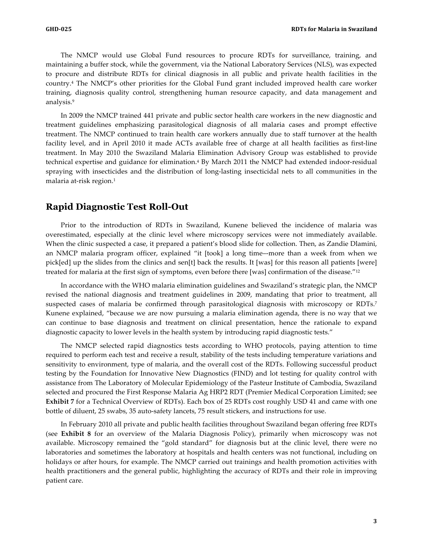The NMCP would use Global Fund resources to procure RDTs for surveillance, training, and maintaining a buffer stock, while the government, via the National Laboratory Services (NLS), was expected to procure and distribute RDTs for clinical diagnosis in all public and private health facilities in the country.4 The NMCP's other priorities for the Global Fund grant included improved health care worker training, diagnosis quality control, strengthening human resource capacity, and data management and analysis.9

In 2009 the NMCP trained 441 private and public sector health care workers in the new diagnostic and treatment guidelines emphasizing parasitological diagnosis of all malaria cases and prompt effective treatment. The NMCP continued to train health care workers annually due to staff turnover at the health facility level, and in April 2010 it made ACTs available free of charge at all health facilities as first-line treatment. In May 2010 the Swaziland Malaria Elimination Advisory Group was established to provide technical expertise and guidance for elimination.4 By March 2011 the NMCP had extended indoor-residual spraying with insecticides and the distribution of long-lasting insecticidal nets to all communities in the malaria at-risk region.1

#### **Rapid Diagnostic Test Roll-Out**

Prior to the introduction of RDTs in Swaziland, Kunene believed the incidence of malaria was overestimated, especially at the clinic level where microscopy services were not immediately available. When the clinic suspected a case, it prepared a patient's blood slide for collection. Then, as Zandie Dlamini, an NMCP malaria program officer, explained "it [took] a long time–-more than a week from when we pick[ed] up the slides from the clinics and sen[t] back the results. It [was] for this reason all patients [were] treated for malaria at the first sign of symptoms, even before there [was] confirmation of the disease."12

In accordance with the WHO malaria elimination guidelines and Swaziland's strategic plan, the NMCP revised the national diagnosis and treatment guidelines in 2009, mandating that prior to treatment, all suspected cases of malaria be confirmed through parasitological diagnosis with microscopy or RDTs.7 Kunene explained, "because we are now pursuing a malaria elimination agenda, there is no way that we can continue to base diagnosis and treatment on clinical presentation, hence the rationale to expand diagnostic capacity to lower levels in the health system by introducing rapid diagnostic tests."

The NMCP selected rapid diagnostics tests according to WHO protocols, paying attention to time required to perform each test and receive a result, stability of the tests including temperature variations and sensitivity to environment, type of malaria, and the overall cost of the RDTs. Following successful product testing by the Foundation for Innovative New Diagnostics (FIND) and lot testing for quality control with assistance from The Laboratory of Molecular Epidemiology of the Pasteur Institute of Cambodia, Swaziland selected and procured the First Response Malaria Ag HRP2 RDT (Premier Medical Corporation Limited; see **Exhibit 7** for a Technical Overview of RDTs). Each box of 25 RDTs cost roughly USD 41 and came with one bottle of diluent, 25 swabs, 35 auto-safety lancets, 75 result stickers, and instructions for use.

In February 2010 all private and public health facilities throughout Swaziland began offering free RDTs (see **Exhibit 8** for an overview of the Malaria Diagnosis Policy), primarily when microscopy was not available. Microscopy remained the "gold standard" for diagnosis but at the clinic level, there were no laboratories and sometimes the laboratory at hospitals and health centers was not functional, including on holidays or after hours, for example. The NMCP carried out trainings and health promotion activities with health practitioners and the general public, highlighting the accuracy of RDTs and their role in improving patient care.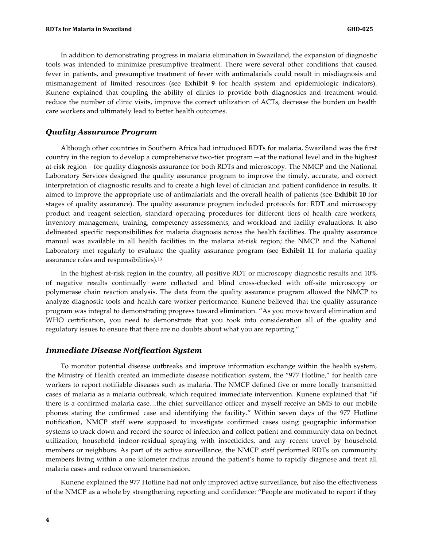In addition to demonstrating progress in malaria elimination in Swaziland, the expansion of diagnostic tools was intended to minimize presumptive treatment. There were several other conditions that caused fever in patients, and presumptive treatment of fever with antimalarials could result in misdiagnosis and mismanagement of limited resources (see **Exhibit 9** for health system and epidemiologic indicators). Kunene explained that coupling the ability of clinics to provide both diagnostics and treatment would reduce the number of clinic visits, improve the correct utilization of ACTs, decrease the burden on health care workers and ultimately lead to better health outcomes.

#### *Quality Assurance Program*

Although other countries in Southern Africa had introduced RDTs for malaria, Swaziland was the first country in the region to develop a comprehensive two-tier program—at the national level and in the highest at-risk region—for quality diagnosis assurance for both RDTs and microscopy. The NMCP and the National Laboratory Services designed the quality assurance program to improve the timely, accurate, and correct interpretation of diagnostic results and to create a high level of clinician and patient confidence in results. It aimed to improve the appropriate use of antimalarials and the overall health of patients (see **Exhibit 10** for stages of quality assurance). The quality assurance program included protocols for: RDT and microscopy product and reagent selection, standard operating procedures for different tiers of health care workers, inventory management, training, competency assessments, and workload and facility evaluations. It also delineated specific responsibilities for malaria diagnosis across the health facilities. The quality assurance manual was available in all health facilities in the malaria at-risk region; the NMCP and the National Laboratory met regularly to evaluate the quality assurance program (see **Exhibit 11** for malaria quality assurance roles and responsibilities).13

In the highest at-risk region in the country, all positive RDT or microscopy diagnostic results and 10% of negative results continually were collected and blind cross-checked with off-site microscopy or polymerase chain reaction analysis. The data from the quality assurance program allowed the NMCP to analyze diagnostic tools and health care worker performance*.* Kunene believed that the quality assurance program was integral to demonstrating progress toward elimination. "As you move toward elimination and WHO certification, you need to demonstrate that you took into consideration all of the quality and regulatory issues to ensure that there are no doubts about what you are reporting."

#### *Immediate Disease Notification System*

To monitor potential disease outbreaks and improve information exchange within the health system, the Ministry of Health created an immediate disease notification system, the "977 Hotline," for health care workers to report notifiable diseases such as malaria. The NMCP defined five or more locally transmitted cases of malaria as a malaria outbreak, which required immediate intervention. Kunene explained that "if there is a confirmed malaria case…the chief surveillance officer and myself receive an SMS to our mobile phones stating the confirmed case and identifying the facility." Within seven days of the 977 Hotline notification, NMCP staff were supposed to investigate confirmed cases using geographic information systems to track down and record the source of infection and collect patient and community data on bednet utilization, household indoor-residual spraying with insecticides, and any recent travel by household members or neighbors. As part of its active surveillance, the NMCP staff performed RDTs on community members living within a one kilometer radius around the patient's home to rapidly diagnose and treat all malaria cases and reduce onward transmission.

Kunene explained the 977 Hotline had not only improved active surveillance, but also the effectiveness of the NMCP as a whole by strengthening reporting and confidence: "People are motivated to report if they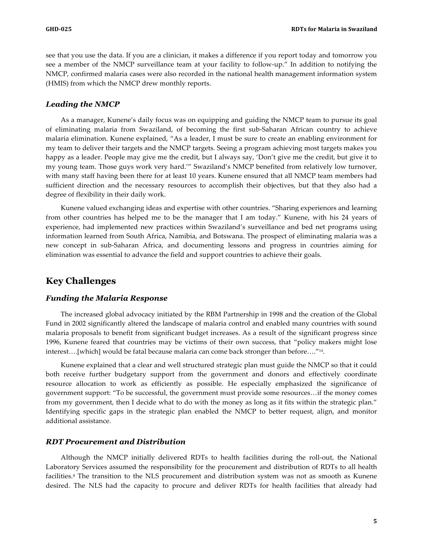see that you use the data. If you are a clinician, it makes a difference if you report today and tomorrow you see a member of the NMCP surveillance team at your facility to follow-up." In addition to notifying the NMCP, confirmed malaria cases were also recorded in the national health management information system (HMIS) from which the NMCP drew monthly reports.

#### *Leading the NMCP*

As a manager, Kunene's daily focus was on equipping and guiding the NMCP team to pursue its goal of eliminating malaria from Swaziland, of becoming the first sub-Saharan African country to achieve malaria elimination. Kunene explained, "As a leader, I must be sure to create an enabling environment for my team to deliver their targets and the NMCP targets. Seeing a program achieving most targets makes you happy as a leader. People may give me the credit, but I always say, 'Don't give me the credit, but give it to my young team. Those guys work very hard.'" Swaziland's NMCP benefited from relatively low turnover, with many staff having been there for at least 10 years. Kunene ensured that all NMCP team members had sufficient direction and the necessary resources to accomplish their objectives, but that they also had a degree of flexibility in their daily work.

Kunene valued exchanging ideas and expertise with other countries. "Sharing experiences and learning from other countries has helped me to be the manager that I am today." Kunene, with his 24 years of experience, had implemented new practices within Swaziland's surveillance and bed net programs using information learned from South Africa, Namibia, and Botswana. The prospect of eliminating malaria was a new concept in sub-Saharan Africa, and documenting lessons and progress in countries aiming for elimination was essential to advance the field and support countries to achieve their goals.

### **Key Challenges**

#### *Funding the Malaria Response*

The increased global advocacy initiated by the RBM Partnership in 1998 and the creation of the Global Fund in 2002 significantly altered the landscape of malaria control and enabled many countries with sound malaria proposals to benefit from significant budget increases. As a result of the significant progress since 1996, Kunene feared that countries may be victims of their own success, that "policy makers might lose interest….[which] would be fatal because malaria can come back stronger than before…."14.

Kunene explained that a clear and well structured strategic plan must guide the NMCP so that it could both receive further budgetary support from the government and donors and effectively coordinate resource allocation to work as efficiently as possible. He especially emphasized the significance of government support: "To be successful, the government must provide some resources…if the money comes from my government, then I decide what to do with the money as long as it fits within the strategic plan." Identifying specific gaps in the strategic plan enabled the NMCP to better request, align, and monitor additional assistance.

#### *RDT Procurement and Distribution*

Although the NMCP initially delivered RDTs to health facilities during the roll-out, the National Laboratory Services assumed the responsibility for the procurement and distribution of RDTs to all health facilities.4 The transition to the NLS procurement and distribution system was not as smooth as Kunene desired. The NLS had the capacity to procure and deliver RDTs for health facilities that already had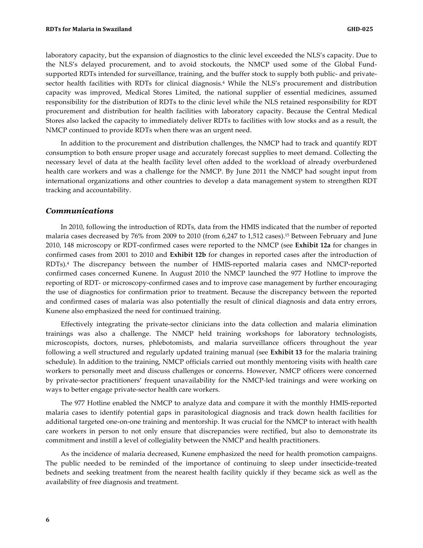laboratory capacity, but the expansion of diagnostics to the clinic level exceeded the NLS's capacity. Due to the NLS's delayed procurement, and to avoid stockouts, the NMCP used some of the Global Fundsupported RDTs intended for surveillance, training, and the buffer stock to supply both public- and privatesector health facilities with RDTs for clinical diagnosis.<sup>4</sup> While the NLS's procurement and distribution capacity was improved, Medical Stores Limited, the national supplier of essential medicines, assumed responsibility for the distribution of RDTs to the clinic level while the NLS retained responsibility for RDT procurement and distribution for health facilities with laboratory capacity. Because the Central Medical Stores also lacked the capacity to immediately deliver RDTs to facilities with low stocks and as a result, the NMCP continued to provide RDTs when there was an urgent need.

In addition to the procurement and distribution challenges, the NMCP had to track and quantify RDT consumption to both ensure proper usage and accurately forecast supplies to meet demand. Collecting the necessary level of data at the health facility level often added to the workload of already overburdened health care workers and was a challenge for the NMCP. By June 2011 the NMCP had sought input from international organizations and other countries to develop a data management system to strengthen RDT tracking and accountability.

#### *Communications*

In 2010, following the introduction of RDTs, data from the HMIS indicated that the number of reported malaria cases decreased by 76% from 2009 to 2010 (from 6,247 to 1,512 cases).15 Between February and June 2010, 148 microscopy or RDT-confirmed cases were reported to the NMCP (see **Exhibit 12a** for changes in confirmed cases from 2001 to 2010 and **Exhibit 12b** for changes in reported cases after the introduction of RDTs).4 The discrepancy between the number of HMIS-reported malaria cases and NMCP-reported confirmed cases concerned Kunene. In August 2010 the NMCP launched the 977 Hotline to improve the reporting of RDT- or microscopy-confirmed cases and to improve case management by further encouraging the use of diagnostics for confirmation prior to treatment. Because the discrepancy between the reported and confirmed cases of malaria was also potentially the result of clinical diagnosis and data entry errors, Kunene also emphasized the need for continued training.

Effectively integrating the private-sector clinicians into the data collection and malaria elimination trainings was also a challenge. The NMCP held training workshops for laboratory technologists, microscopists, doctors, nurses, phlebotomists, and malaria surveillance officers throughout the year following a well structured and regularly updated training manual (see **Exhibit 13** for the malaria training schedule). In addition to the training, NMCP officials carried out monthly mentoring visits with health care workers to personally meet and discuss challenges or concerns. However, NMCP officers were concerned by private-sector practitioners' frequent unavailability for the NMCP-led trainings and were working on ways to better engage private-sector health care workers.

The 977 Hotline enabled the NMCP to analyze data and compare it with the monthly HMIS-reported malaria cases to identify potential gaps in parasitological diagnosis and track down health facilities for additional targeted one-on-one training and mentorship. It was crucial for the NMCP to interact with health care workers in person to not only ensure that discrepancies were rectified, but also to demonstrate its commitment and instill a level of collegiality between the NMCP and health practitioners.

As the incidence of malaria decreased, Kunene emphasized the need for health promotion campaigns. The public needed to be reminded of the importance of continuing to sleep under insecticide-treated bednets and seeking treatment from the nearest health facility quickly if they became sick as well as the availability of free diagnosis and treatment.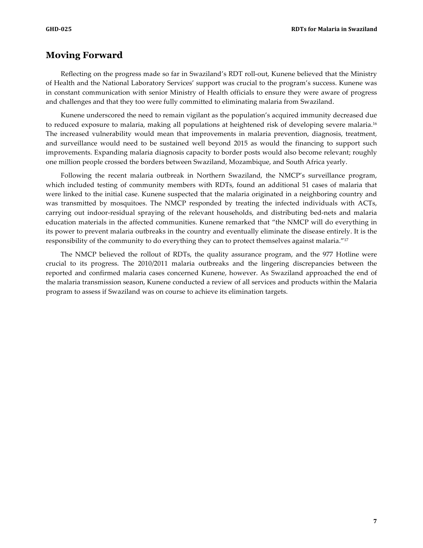### **Moving Forward**

Reflecting on the progress made so far in Swaziland's RDT roll-out, Kunene believed that the Ministry of Health and the National Laboratory Services' support was crucial to the program's success. Kunene was in constant communication with senior Ministry of Health officials to ensure they were aware of progress and challenges and that they too were fully committed to eliminating malaria from Swaziland.

Kunene underscored the need to remain vigilant as the population's acquired immunity decreased due to reduced exposure to malaria, making all populations at heightened risk of developing severe malaria.<sup>16</sup> The increased vulnerability would mean that improvements in malaria prevention, diagnosis, treatment, and surveillance would need to be sustained well beyond 2015 as would the financing to support such improvements. Expanding malaria diagnosis capacity to border posts would also become relevant; roughly one million people crossed the borders between Swaziland, Mozambique, and South Africa yearly.

Following the recent malaria outbreak in Northern Swaziland, the NMCP's surveillance program, which included testing of community members with RDTs, found an additional 51 cases of malaria that were linked to the initial case. Kunene suspected that the malaria originated in a neighboring country and was transmitted by mosquitoes. The NMCP responded by treating the infected individuals with ACTs, carrying out indoor-residual spraying of the relevant households, and distributing bed-nets and malaria education materials in the affected communities. Kunene remarked that "the NMCP will do everything in its power to prevent malaria outbreaks in the country and eventually eliminate the disease entirely. It is the responsibility of the community to do everything they can to protect themselves against malaria."17

The NMCP believed the rollout of RDTs, the quality assurance program, and the 977 Hotline were crucial to its progress. The 2010/2011 malaria outbreaks and the lingering discrepancies between the reported and confirmed malaria cases concerned Kunene, however. As Swaziland approached the end of the malaria transmission season, Kunene conducted a review of all services and products within the Malaria program to assess if Swaziland was on course to achieve its elimination targets.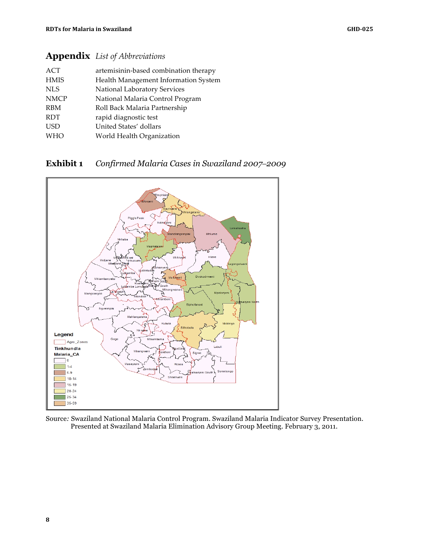# **Appendix** *List of Abbreviations*

| <b>ACT</b>  | artemisinin-based combination therapy |
|-------------|---------------------------------------|
| <b>HMIS</b> | Health Management Information System  |
| <b>NLS</b>  | National Laboratory Services          |
| <b>NMCP</b> | National Malaria Control Program      |
| <b>RBM</b>  | Roll Back Malaria Partnership         |
| <b>RDT</b>  | rapid diagnostic test                 |
| <b>USD</b>  | United States' dollars                |
| <b>WHO</b>  | World Health Organization             |

### **Exhibit 1** *Confirmed Malaria Cases in Swaziland 2007–2009*



Source*:* Swaziland National Malaria Control Program. Swaziland Malaria Indicator Survey Presentation. Presented at Swaziland Malaria Elimination Advisory Group Meeting. February 3, 2011.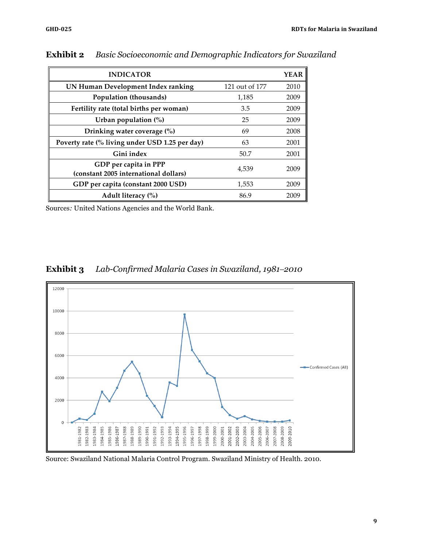| <b>INDICATOR</b>                                               |                | <b>YEAR</b> |
|----------------------------------------------------------------|----------------|-------------|
| UN Human Development Index ranking                             | 121 out of 177 | 2010        |
| Population (thousands)                                         | 1,185          | 2009        |
| Fertility rate (total births per woman)                        | 3.5            | 2009        |
| Urban population $(\%)$                                        | 25             | 2009        |
| Drinking water coverage (%)                                    | 69             | 2008        |
| Poverty rate (% living under USD 1.25 per day)                 | 63             | 2001        |
| Gini index                                                     | 50.7           | 2001        |
| GDP per capita in PPP<br>(constant 2005 international dollars) | 4.539          | 2009        |
| GDP per capita (constant 2000 USD)                             | 1,553          | 2009        |
| Adult literacy (%)                                             | 86.9           | 2009        |

**Exhibit 2** *Basic Socioeconomic and Demographic Indicators for Swaziland*

Sources*:* United Nations Agencies and the World Bank.

### **Exhibit 3** *Lab-Confirmed Malaria Cases in Swaziland, 1981–2010*



Source: Swaziland National Malaria Control Program. Swaziland Ministry of Health. 2010.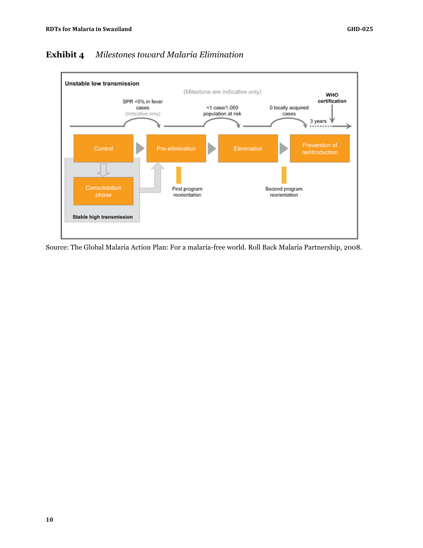

### **Exhibit 4** *Milestones toward Malaria Elimination*

Source: The Global Malaria Action Plan: For a malaria-free world. Roll Back Malaria Partnership, 2008.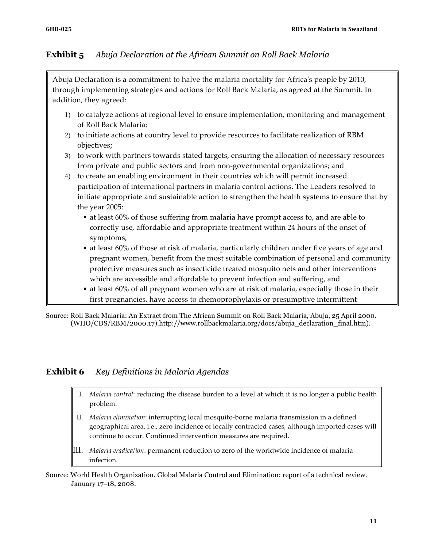### **Exhibit 5** *Abuja Declaration at the African Summit on Roll Back Malaria*

Abuja Declaration is a commitment to halve the malaria mortality for Africa's people by 2010, through implementing strategies and actions for Roll Back Malaria, as agreed at the Summit. In addition, they agreed:

- 1) to catalyze actions at regional level to ensure implementation, monitoring and management of Roll Back Malaria;
- 2) to initiate actions at country level to provide resources to facilitate realization of RBM objectives;
- 3) to work with partners towards stated targets, ensuring the allocation of necessary resources from private and public sectors and from non-governmental organizations; and
- 4) to create an enabling environment in their countries which will permit increased participation of international partners in malaria control actions. The Leaders resolved to initiate appropriate and sustainable action to strengthen the health systems to ensure that by the year 2005:
	- ! at least 60% of those suffering from malaria have prompt access to, and are able to correctly use, affordable and appropriate treatment within 24 hours of the onset of symptoms,
	- ! at least 60% of those at risk of malaria, particularly children under five years of age and pregnant women, benefit from the most suitable combination of personal and community protective measures such as insecticide treated mosquito nets and other interventions which are accessible and affordable to prevent infection and suffering, and
	- ! at least 60% of all pregnant women who are at risk of malaria, especially those in their first pregnancies, have access to chemoprophylaxis or presumptive intermittent

.<br>Source: Roll Back Malaria: An Extract from The African Summit on Roll Back Malaria, Abuja, 25 April 2000. (WHO/CDS/RBM/2000.17).http://www.rollbackmalaria.org/docs/abuja\_declaration\_final.htm).

### **Exhibit 6** *Key Definitions in Malaria Agendas*

- I. *Malaria control*: reducing the disease burden to a level at which it is no longer a public health problem.
- II. *Malaria elimination*: interrupting local mosquito-borne malaria transmission in a defined geographical area, i.e., zero incidence of locally contracted cases, although imported cases will continue to occur. Continued intervention measures are required.
- III. *Malaria eradication*: permanent reduction to zero of the worldwide incidence of malaria infection.

Source: World Health Organization. Global Malaria Control and Elimination: report of a technical review. January 17–18, 2008.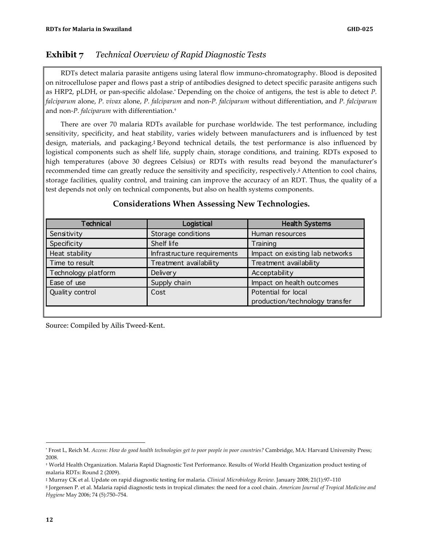### **Exhibit 7** *Technical Overview of Rapid Diagnostic Tests*

RDTs detect malaria parasite antigens using lateral flow immuno-chromatography. Blood is deposited on nitrocellulose paper and flows past a strip of antibodies designed to detect specific parasite antigens such as HRP2, pLDH, or pan-specific aldolase.\* Depending on the choice of antigens, the test is able to detect *P. falciparum* alone, *P. vivax* alone, *P. falciparum* and non-*P. falciparum* without differentiation, and *P. falciparum*  and non-*P. falciparum* with differentiation.†

There are over 70 malaria RDTs available for purchase worldwide. The test performance, including sensitivity, specificity, and heat stability, varies widely between manufacturers and is influenced by test design, materials, and packaging.‡ Beyond technical details, the test performance is also influenced by logistical components such as shelf life, supply chain, storage conditions, and training. RDTs exposed to high temperatures (above 30 degrees Celsius) or RDTs with results read beyond the manufacturer's recommended time can greatly reduce the sensitivity and specificity, respectively.§ Attention to cool chains, storage facilities, quality control, and training can improve the accuracy of an RDT. Thus, the quality of a test depends not only on technical components, but also on health systems components.

| <b>Technical</b>    | Logistical                  | <b>Health Systems</b>           |
|---------------------|-----------------------------|---------------------------------|
| Sensitivity         | Storage conditions          | Human resources                 |
| Specificity         | Shelf life                  | Training                        |
| Heat stability      | Infrastructure requirements | Impact on existing lab networks |
| Time to result      | Treatment availability      | Treatment availability          |
| Technology platform | Delivery                    | Acceptability                   |
| Ease of use         | Supply chain                | Impact on health outcomes       |
| Quality control     | Cost                        | Potential for local             |
|                     |                             | production/technology transfer  |

#### **Considerations When Assessing New Technologies.**

Source: Compiled by Ailis Tweed-Kent.

 $\overline{a}$ 

<sup>\*</sup> Frost L, Reich M. *Access: How do good health technologies get to poor people in poor countries?* Cambridge, MA: Harvard University Press; 2008.

<sup>†</sup> World Health Organization. Malaria Rapid Diagnostic Test Performance. Results of World Health Organization product testing of malaria RDTs: Round 2 (2009).

<sup>‡</sup> Murray CK et al. Update on rapid diagnostic testing for malaria. *Clinical Microbiology Review.* January 2008; 21(1):97–110

<sup>§</sup> Jorgensen P. et al. Malaria rapid diagnostic tests in tropical climates: the need for a cool chain. *American Journal of Tropical Medicine and Hygiene* May 2006; 74 (5):750–754.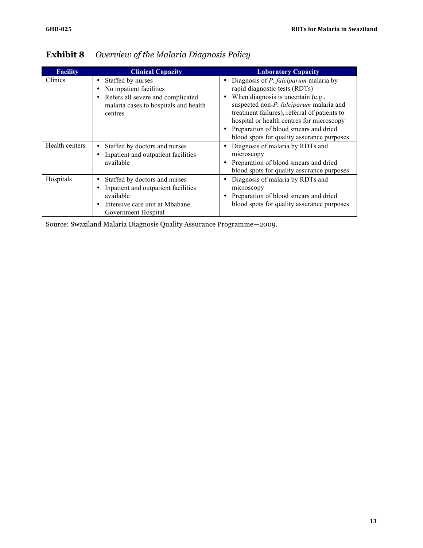| <b>Facility</b> | <b>Clinical Capacity</b>                                                                                                                             | <b>Laboratory Capacity</b>                                                                                                                                                                                                                                                                                                                              |
|-----------------|------------------------------------------------------------------------------------------------------------------------------------------------------|---------------------------------------------------------------------------------------------------------------------------------------------------------------------------------------------------------------------------------------------------------------------------------------------------------------------------------------------------------|
| Clinics         | Staffed by nurses<br>٠<br>No inpatient facilities<br>٠<br>Refers all severe and complicated<br>٠<br>malaria cases to hospitals and health<br>centres | Diagnosis of <i>P. falciparum</i> malaria by<br>٠<br>rapid diagnostic tests (RDTs)<br>When diagnosis is uncertain (e.g.,<br>suspected non-P. falciparum malaria and<br>treatment failures), referral of patients to<br>hospital or health centres for microscopy<br>Preparation of blood smears and dried<br>blood spots for quality assurance purposes |
| Health centers  | Staffed by doctors and nurses<br>Inpatient and outpatient facilities<br>٠<br>available                                                               | Diagnosis of malaria by RDTs and<br>microscopy<br>Preparation of blood smears and dried<br>blood spots for quality assurance purposes                                                                                                                                                                                                                   |
| Hospitals       | Staffed by doctors and nurses<br>٠<br>Inpatient and outpatient facilities<br>available<br>Intensive care unit at Mbabane<br>٠<br>Government Hospital | Diagnosis of malaria by RDTs and<br>٠<br>microscopy<br>Preparation of blood smears and dried<br>blood spots for quality assurance purposes                                                                                                                                                                                                              |

# **Exhibit 8** *Overview of the Malaria Diagnosis Policy*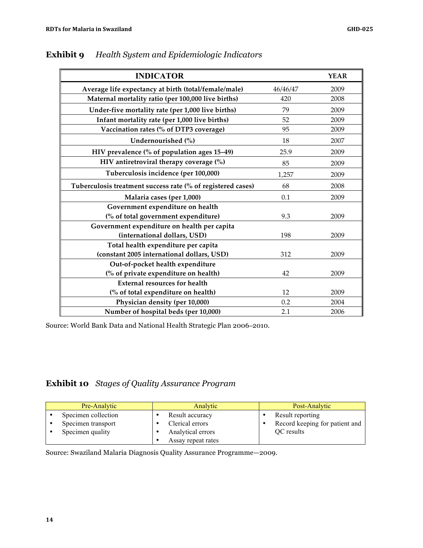| <b>INDICATOR</b>                                            |          | <b>YEAR</b> |
|-------------------------------------------------------------|----------|-------------|
| Average life expectancy at birth (total/female/male)        | 46/46/47 | 2009        |
| Maternal mortality ratio (per 100,000 live births)          | 420      | 2008        |
| Under-five mortality rate (per 1,000 live births)           | 79       | 2009        |
| Infant mortality rate (per 1,000 live births)               | 52       | 2009        |
| Vaccination rates (% of DTP3 coverage)                      | 95       | 2009        |
| Undernourished (%)                                          | 18       | 2007        |
| HIV prevalence (% of population ages 15–49)                 | 25.9     | 2009        |
| HIV antiretroviral therapy coverage $(\%)$                  | 85       | 2009        |
| Tuberculosis incidence (per 100,000)                        | 1,257    | 2009        |
| Tuberculosis treatment success rate (% of registered cases) | 68       | 2008        |
| Malaria cases (per 1,000)                                   | 0.1      | 2009        |
| Government expenditure on health                            |          |             |
| (% of total government expenditure)                         | 9.3      | 2009        |
| Government expenditure on health per capita                 |          |             |
| (international dollars, USD)                                | 198      | 2009        |
| Total health expenditure per capita                         |          |             |
| (constant 2005 international dollars, USD)                  | 312      | 2009        |
| Out-of-pocket health expenditure                            |          |             |
| (% of private expenditure on health)                        | 42       | 2009        |
| <b>External resources for health</b>                        |          |             |
| (% of total expenditure on health)                          | 12       | 2009        |
| Physician density (per 10,000)                              | 0.2      | 2004        |
| Number of hospital beds (per 10,000)                        | 2.1      | 2006        |

### **Exhibit 9** *Health System and Epidemiologic Indicators*

Source: World Bank Data and National Health Strategic Plan 2006–2010.

# **Exhibit 10** *Stages of Quality Assurance Program*

| Pre-Analytic        | Analytic           | Post-Analytic                  |
|---------------------|--------------------|--------------------------------|
| Specimen collection | Result accuracy    | Result reporting               |
| Specimen transport  | Clerical errors    | Record keeping for patient and |
| Specimen quality    | Analytical errors  | OC results                     |
|                     | Assay repeat rates |                                |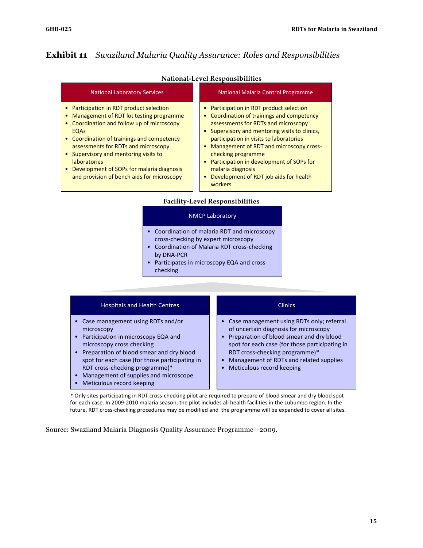### **Exhibit 11** *Swaziland Malaria Quality Assurance: Roles and Responsibilities*

|                                                                                                                                                                                                                                                                                                                                                                                          | National-Level Responsibilities                                                                                                                                                                                                                                                                                                                                                                                                       |  |  |
|------------------------------------------------------------------------------------------------------------------------------------------------------------------------------------------------------------------------------------------------------------------------------------------------------------------------------------------------------------------------------------------|---------------------------------------------------------------------------------------------------------------------------------------------------------------------------------------------------------------------------------------------------------------------------------------------------------------------------------------------------------------------------------------------------------------------------------------|--|--|
| <b>National Laboratory Services</b>                                                                                                                                                                                                                                                                                                                                                      | National Malaria Control Programme                                                                                                                                                                                                                                                                                                                                                                                                    |  |  |
| Participation in RDT product selection<br>Management of RDT lot testing programme<br>Coordination and follow up of microscopy<br><b>EQAS</b><br>Coordination of trainings and competency<br>assessments for RDTs and microscopy<br>Supervisory and mentoring visits to<br><b>laboratories</b><br>Development of SOPs for malaria diagnosis<br>and provision of bench aids for microscopy | Participation in RDT product selection<br>Coordination of trainings and competency<br>assessments for RDTs and microscopy<br>Supervisory and mentoring visits to clinics,<br>participation in visits to laboratories<br>Management of RDT and microscopy cross-<br>$\bullet$<br>checking programme<br>Participation in development of SOPs for<br>malaria diagnosis<br>Development of RDT job aids for health<br>$\bullet$<br>workers |  |  |
| $\bullet$                                                                                                                                                                                                                                                                                                                                                                                | <b>Facility-Level Responsibilities</b><br><b>NMCP Laboratory</b><br>Coordination of malaria RDT and microscopy<br>cross-checking by expert microscopy                                                                                                                                                                                                                                                                                 |  |  |

#### **National-Level Responsibilities**

- Coordination of Malaria RDT cross-checking by DNA-PCR
- Participates in microscopy EQA and crosschecking

| <b>Hospitals and Health Centres</b>                                                                                                                                                                                                                                                                                             | <b>Clinics</b>                                                                                                                                                                                                                                                                               |
|---------------------------------------------------------------------------------------------------------------------------------------------------------------------------------------------------------------------------------------------------------------------------------------------------------------------------------|----------------------------------------------------------------------------------------------------------------------------------------------------------------------------------------------------------------------------------------------------------------------------------------------|
| • Case management using RDTs and/or<br>microscopy<br>• Participation in microscopy EQA and<br>microscopy cross checking<br>• Preparation of blood smear and dry blood<br>spot for each case (for those participating in<br>RDT cross-checking programme)*<br>Management of supplies and microscope<br>Meticulous record keeping | Case management using RDTs only; referral<br>of uncertain diagnosis for microscopy<br>• Preparation of blood smear and dry blood<br>spot for each case (for those participating in<br>RDT cross-checking programme)*<br>Management of RDTs and related supplies<br>Meticulous record keeping |

*\** Only sites participating in RDT cross-checking pilot are required to prepare of blood smear and dry blood spot for each case. In 2009-2010 malaria season, the pilot includes all health facilities in the Lubumbo region. In the future, RDT cross-checking procedures may be modified and the programme will be expanded to cover all sites.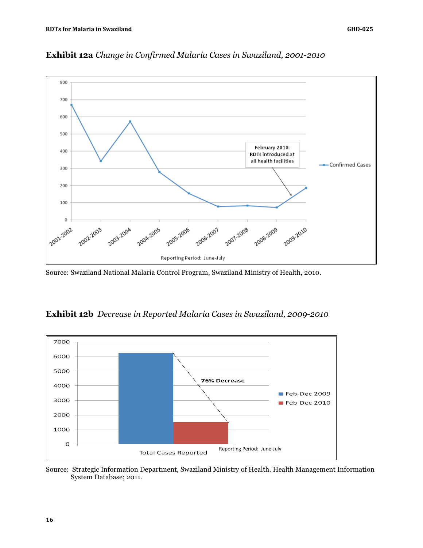

**Exhibit 12a** *Change in Confirmed Malaria Cases in Swaziland, 2001-2010*

Source: Swaziland National Malaria Control Program, Swaziland Ministry of Health, 2010.





Source: Strategic Information Department, Swaziland Ministry of Health. Health Management Information System Database; 2011.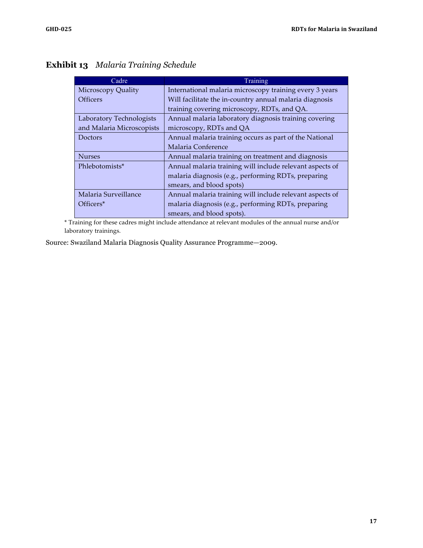# **Exhibit 13** *Malaria Training Schedule*

| Cadre                     | Training                                                 |
|---------------------------|----------------------------------------------------------|
| <b>Microscopy Quality</b> | International malaria microscopy training every 3 years  |
| <b>Officers</b>           | Will facilitate the in-country annual malaria diagnosis  |
|                           | training covering microscopy, RDTs, and QA.              |
| Laboratory Technologists  | Annual malaria laboratory diagnosis training covering    |
| and Malaria Microscopists | microscopy, RDTs and QA                                  |
| Doctors                   | Annual malaria training occurs as part of the National   |
|                           | Malaria Conference                                       |
| <b>Nurses</b>             | Annual malaria training on treatment and diagnosis       |
| Phlebotomists*            | Annual malaria training will include relevant aspects of |
|                           | malaria diagnosis (e.g., performing RDTs, preparing      |
|                           | smears, and blood spots)                                 |
| Malaria Surveillance      | Annual malaria training will include relevant aspects of |
| Officers <sup>*</sup>     | malaria diagnosis (e.g., performing RDTs, preparing      |
|                           | smears, and blood spots).                                |

\* Training for these cadres might include attendance at relevant modules of the annual nurse and/or laboratory trainings.